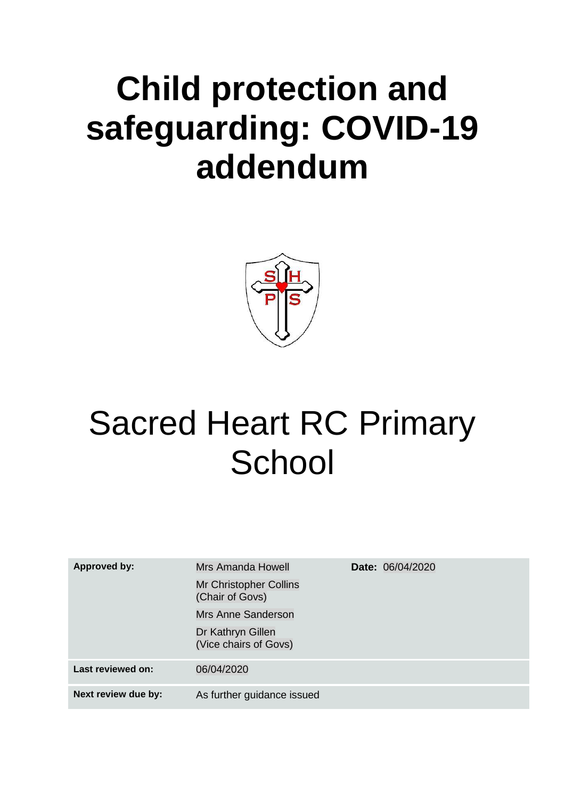# **Child protection and safeguarding: COVID-19 addendum**



# Sacred Heart RC Primary **School**

| <b>Approved by:</b> | Mrs Amanda Howell<br>Mr Christopher Collins<br>(Chair of Govs)<br>Mrs Anne Sanderson<br>Dr Kathryn Gillen<br>(Vice chairs of Govs) | <b>Date: 06/04/2020</b> |
|---------------------|------------------------------------------------------------------------------------------------------------------------------------|-------------------------|
| Last reviewed on:   | 06/04/2020                                                                                                                         |                         |
| Next review due by: | As further guidance issued                                                                                                         |                         |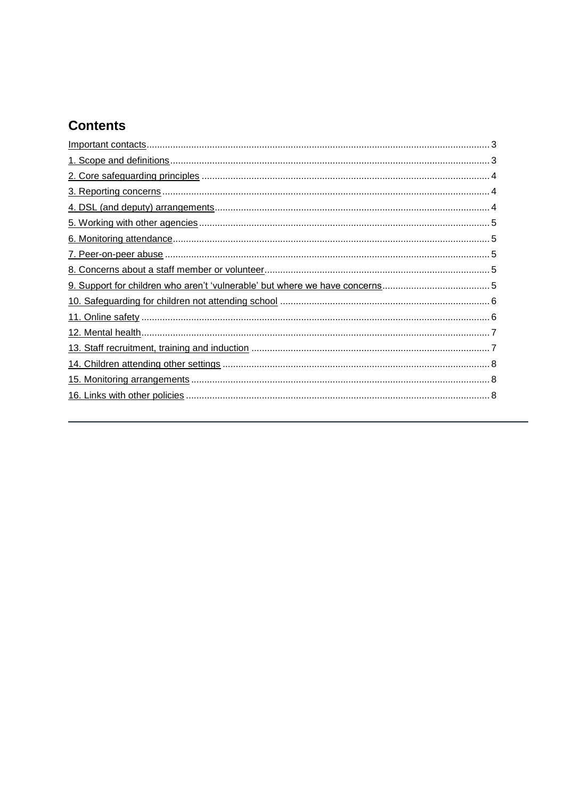# **Contents**

<span id="page-1-0"></span>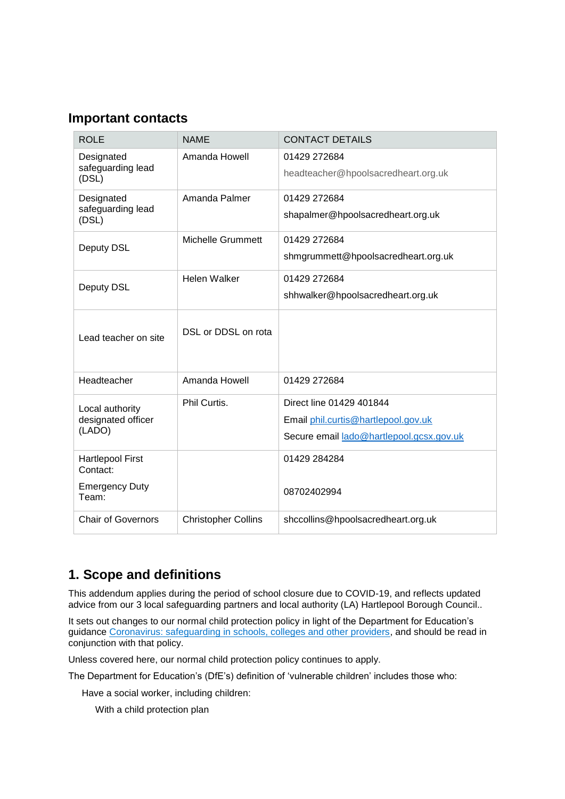## **Important contacts**

| <b>ROLE</b>                                     | <b>NAME</b>                | <b>CONTACT DETAILS</b>                                                                                      |
|-------------------------------------------------|----------------------------|-------------------------------------------------------------------------------------------------------------|
| Designated<br>safeguarding lead<br>(DSL)        | Amanda Howell              | 01429 272684<br>headteacher@hpoolsacredheart.org.uk                                                         |
| Designated<br>safeguarding lead<br>(DSL)        | Amanda Palmer              | 01429 272684<br>shapalmer@hpoolsacredheart.org.uk                                                           |
| Deputy DSL                                      | <b>Michelle Grummett</b>   | 01429 272684<br>shmgrummett@hpoolsacredheart.org.uk                                                         |
| Deputy DSL                                      | Helen Walker               | 01429 272684<br>shhwalker@hpoolsacredheart.org.uk                                                           |
| Lead teacher on site                            | DSL or DDSL on rota        |                                                                                                             |
| Headteacher                                     | Amanda Howell              | 01429 272684                                                                                                |
| Local authority<br>designated officer<br>(LADO) | Phil Curtis.               | Direct line 01429 401844<br>Email phil.curtis@hartlepool.gov.uk<br>Secure email lado@hartlepool.gcsx.gov.uk |
| <b>Hartlepool First</b><br>Contact:             |                            | 01429 284284                                                                                                |
| <b>Emergency Duty</b><br>Team:                  |                            | 08702402994                                                                                                 |
| <b>Chair of Governors</b>                       | <b>Christopher Collins</b> | shccollins@hpoolsacredheart.org.uk                                                                          |

# <span id="page-2-0"></span>**1. Scope and definitions**

This addendum applies during the period of school closure due to COVID-19, and reflects updated advice from our 3 local safeguarding partners and local authority (LA) Hartlepool Borough Council..

It sets out changes to our normal child protection policy in light of the Department for Education's guidance [Coronavirus: safeguarding in schools, colleges and other providers,](https://www.gov.uk/government/publications/covid-19-safeguarding-in-schools-colleges-and-other-providers) and should be read in conjunction with that policy.

Unless covered here, our normal child protection policy continues to apply.

The Department for Education's (DfE's) definition of 'vulnerable children' includes those who:

Have a social worker, including children:

With a child protection plan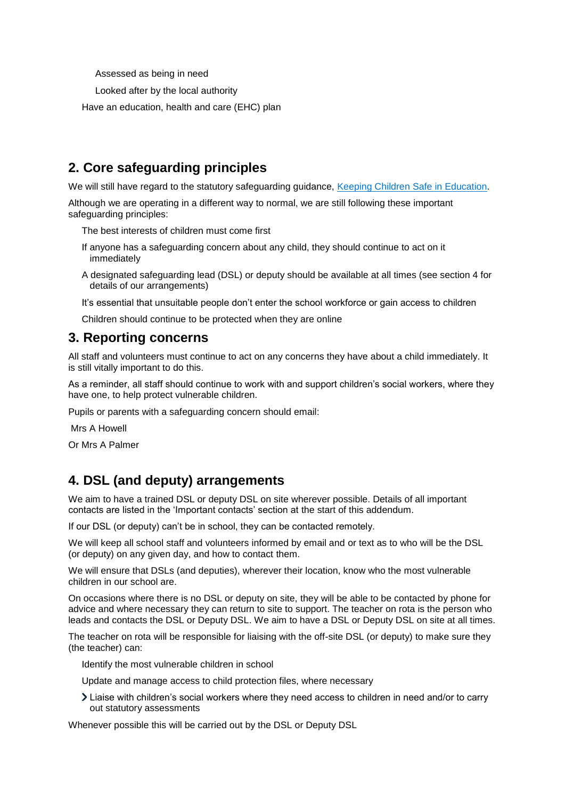Assessed as being in need

Looked after by the local authority

<span id="page-3-0"></span>Have an education, health and care (EHC) plan

# **2. Core safeguarding principles**

We will still have regard to the statutory safeguarding guidance, [Keeping Children Safe in Education.](https://www.gov.uk/government/publications/keeping-children-safe-in-education--2)

Although we are operating in a different way to normal, we are still following these important safeguarding principles:

The best interests of children must come first

- If anyone has a safeguarding concern about any child, they should continue to act on it immediately
- A designated safeguarding lead (DSL) or deputy should be available at all times (see section 4 for details of our arrangements)

It's essential that unsuitable people don't enter the school workforce or gain access to children

Children should continue to be protected when they are online

# <span id="page-3-1"></span>**3. Reporting concerns**

All staff and volunteers must continue to act on any concerns they have about a child immediately. It is still vitally important to do this.

As a reminder, all staff should continue to work with and support children's social workers, where they have one, to help protect vulnerable children.

Pupils or parents with a safeguarding concern should email:

Mrs A Howell

Or Mrs A Palmer

# <span id="page-3-2"></span>**4. DSL (and deputy) arrangements**

We aim to have a trained DSL or deputy DSL on site wherever possible. Details of all important contacts are listed in the 'Important contacts' section at the start of this addendum.

If our DSL (or deputy) can't be in school, they can be contacted remotely.

We will keep all school staff and volunteers informed by email and or text as to who will be the DSL (or deputy) on any given day, and how to contact them.

We will ensure that DSLs (and deputies), wherever their location, know who the most vulnerable children in our school are.

On occasions where there is no DSL or deputy on site, they will be able to be contacted by phone for advice and where necessary they can return to site to support. The teacher on rota is the person who leads and contacts the DSL or Deputy DSL. We aim to have a DSL or Deputy DSL on site at all times.

The teacher on rota will be responsible for liaising with the off-site DSL (or deputy) to make sure they (the teacher) can:

Identify the most vulnerable children in school

Update and manage access to child protection files, where necessary

Liaise with children's social workers where they need access to children in need and/or to carry out statutory assessments

Whenever possible this will be carried out by the DSL or Deputy DSL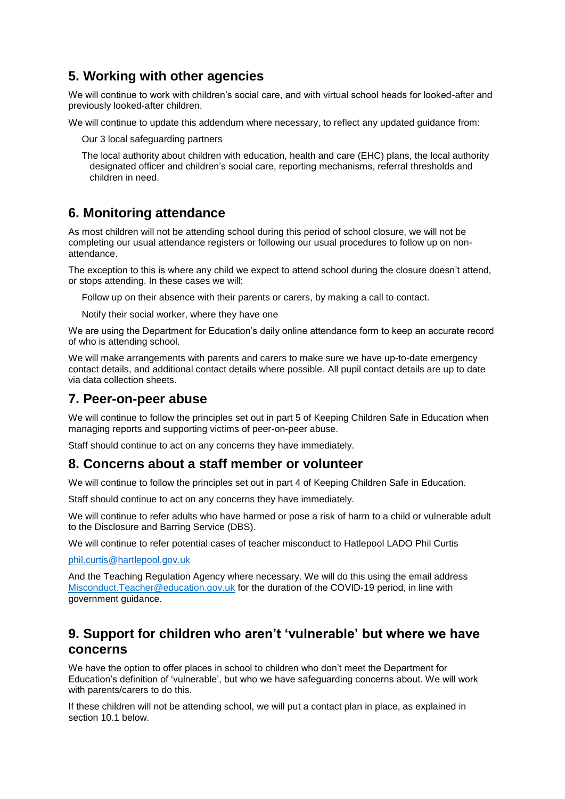# <span id="page-4-0"></span>**5. Working with other agencies**

We will continue to work with children's social care, and with virtual school heads for looked-after and previously looked-after children.

We will continue to update this addendum where necessary, to reflect any updated guidance from:

Our 3 local safeguarding partners

The local authority about children with education, health and care (EHC) plans, the local authority designated officer and children's social care, reporting mechanisms, referral thresholds and children in need.

# <span id="page-4-1"></span>**6. Monitoring attendance**

As most children will not be attending school during this period of school closure, we will not be completing our usual attendance registers or following our usual procedures to follow up on nonattendance.

The exception to this is where any child we expect to attend school during the closure doesn't attend, or stops attending. In these cases we will:

Follow up on their absence with their parents or carers, by making a call to contact.

Notify their social worker, where they have one

We are using the Department for Education's daily online attendance form to keep an accurate record of who is attending school.

We will make arrangements with parents and carers to make sure we have up-to-date emergency contact details, and additional contact details where possible. All pupil contact details are up to date via data collection sheets.

### <span id="page-4-2"></span>**7. Peer-on-peer abuse**

We will continue to follow the principles set out in part 5 of Keeping Children Safe in Education when managing reports and supporting victims of peer-on-peer abuse.

Staff should continue to act on any concerns they have immediately.

### <span id="page-4-3"></span>**8. Concerns about a staff member or volunteer**

We will continue to follow the principles set out in part 4 of Keeping Children Safe in Education.

Staff should continue to act on any concerns they have immediately.

We will continue to refer adults who have harmed or pose a risk of harm to a child or vulnerable adult to the Disclosure and Barring Service (DBS).

We will continue to refer potential cases of teacher misconduct to Hatlepool LADO Phil Curtis

[phil.curtis@hartlepool.gov.uk](mailto:phil.curtis@hartlepool.gov.uk)

And the Teaching Regulation Agency where necessary. We will do this using the email address [Misconduct.Teacher@education.gov.uk](mailto:Misconduct.Teacher@education.gov.uk) for the duration of the COVID-19 period, in line with government guidance.

## <span id="page-4-4"></span>**9. Support for children who aren't 'vulnerable' but where we have concerns**

We have the option to offer places in school to children who don't meet the Department for Education's definition of 'vulnerable', but who we have safeguarding concerns about. We will work with parents/carers to do this.

If these children will not be attending school, we will put a contact plan in place, as explained in section 10.1 below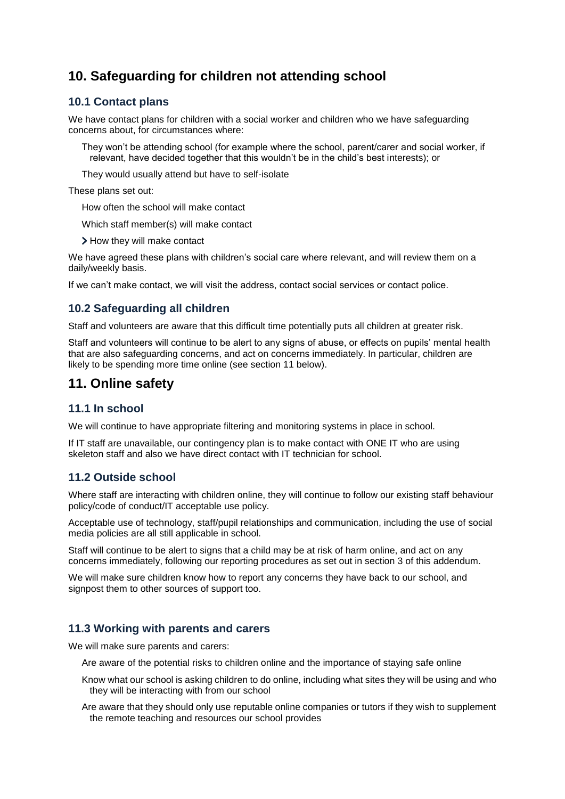# <span id="page-5-0"></span>**10. Safeguarding for children not attending school**

#### **10.1 Contact plans**

We have contact plans for children with a social worker and children who we have safeguarding concerns about, for circumstances where:

They won't be attending school (for example where the school, parent/carer and social worker, if relevant, have decided together that this wouldn't be in the child's best interests); or

They would usually attend but have to self-isolate

These plans set out:

How often the school will make contact

Which staff member(s) will make contact

> How they will make contact

We have agreed these plans with children's social care where relevant, and will review them on a daily/weekly basis.

If we can't make contact, we will visit the address, contact social services or contact police.

#### **10.2 Safeguarding all children**

Staff and volunteers are aware that this difficult time potentially puts all children at greater risk.

Staff and volunteers will continue to be alert to any signs of abuse, or effects on pupils' mental health that are also safeguarding concerns, and act on concerns immediately. In particular, children are likely to be spending more time online (see section 11 below).

## <span id="page-5-1"></span>**11. Online safety**

#### **11.1 In school**

We will continue to have appropriate filtering and monitoring systems in place in school.

If IT staff are unavailable, our contingency plan is to make contact with ONE IT who are using skeleton staff and also we have direct contact with IT technician for school.

#### **11.2 Outside school**

Where staff are interacting with children online, they will continue to follow our existing staff behaviour policy/code of conduct/IT acceptable use policy.

Acceptable use of technology, staff/pupil relationships and communication, including the use of social media policies are all still applicable in school.

Staff will continue to be alert to signs that a child may be at risk of harm online, and act on any concerns immediately, following our reporting procedures as set out in section 3 of this addendum.

We will make sure children know how to report any concerns they have back to our school, and signpost them to other sources of support too.

#### **11.3 Working with parents and carers**

We will make sure parents and carers:

Are aware of the potential risks to children online and the importance of staying safe online

- Know what our school is asking children to do online, including what sites they will be using and who they will be interacting with from our school
- Are aware that they should only use reputable online companies or tutors if they wish to supplement the remote teaching and resources our school provides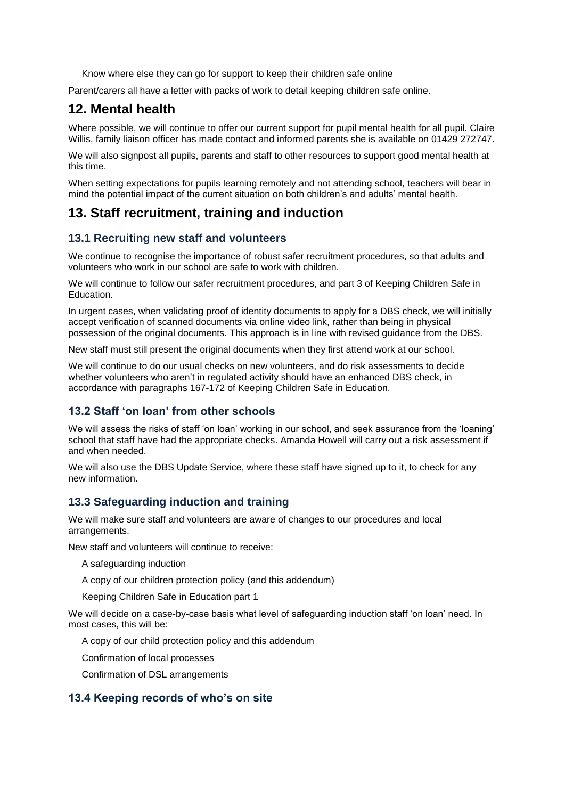<span id="page-6-0"></span>Know where else they can go for support to keep their children safe online

Parent/carers all have a letter with packs of work to detail keeping children safe online.

## **12. Mental health**

Where possible, we will continue to offer our current support for pupil mental health for all pupil. Claire Willis, family liaison officer has made contact and informed parents she is available on 01429 272747.

We will also signpost all pupils, parents and staff to other resources to support good mental health at this time.

When setting expectations for pupils learning remotely and not attending school, teachers will bear in mind the potential impact of the current situation on both children's and adults' mental health.

## <span id="page-6-1"></span>**13. Staff recruitment, training and induction**

#### **13.1 Recruiting new staff and volunteers**

We continue to recognise the importance of robust safer recruitment procedures, so that adults and volunteers who work in our school are safe to work with children.

We will continue to follow our safer recruitment procedures, and part 3 of Keeping Children Safe in Education.

In urgent cases, when validating proof of identity documents to apply for a DBS check, we will initially accept verification of scanned documents via online video link, rather than being in physical possession of the original documents. This approach is in line with revised guidance from the DBS.

New staff must still present the original documents when they first attend work at our school.

We will continue to do our usual checks on new volunteers, and do risk assessments to decide whether volunteers who aren't in regulated activity should have an enhanced DBS check, in accordance with paragraphs 167-172 of Keeping Children Safe in Education.

#### **13.2 Staff 'on loan' from other schools**

We will assess the risks of staff 'on loan' working in our school, and seek assurance from the 'loaning' school that staff have had the appropriate checks. Amanda Howell will carry out a risk assessment if and when needed.

We will also use the DBS Update Service, where these staff have signed up to it, to check for any new information.

#### **13.3 Safeguarding induction and training**

We will make sure staff and volunteers are aware of changes to our procedures and local arrangements.

New staff and volunteers will continue to receive:

- A safeguarding induction
- A copy of our children protection policy (and this addendum)

Keeping Children Safe in Education part 1

We will decide on a case-by-case basis what level of safeguarding induction staff 'on loan' need. In most cases, this will be:

A copy of our child protection policy and this addendum

Confirmation of local processes

Confirmation of DSL arrangements

#### **13.4 Keeping records of who's on site**